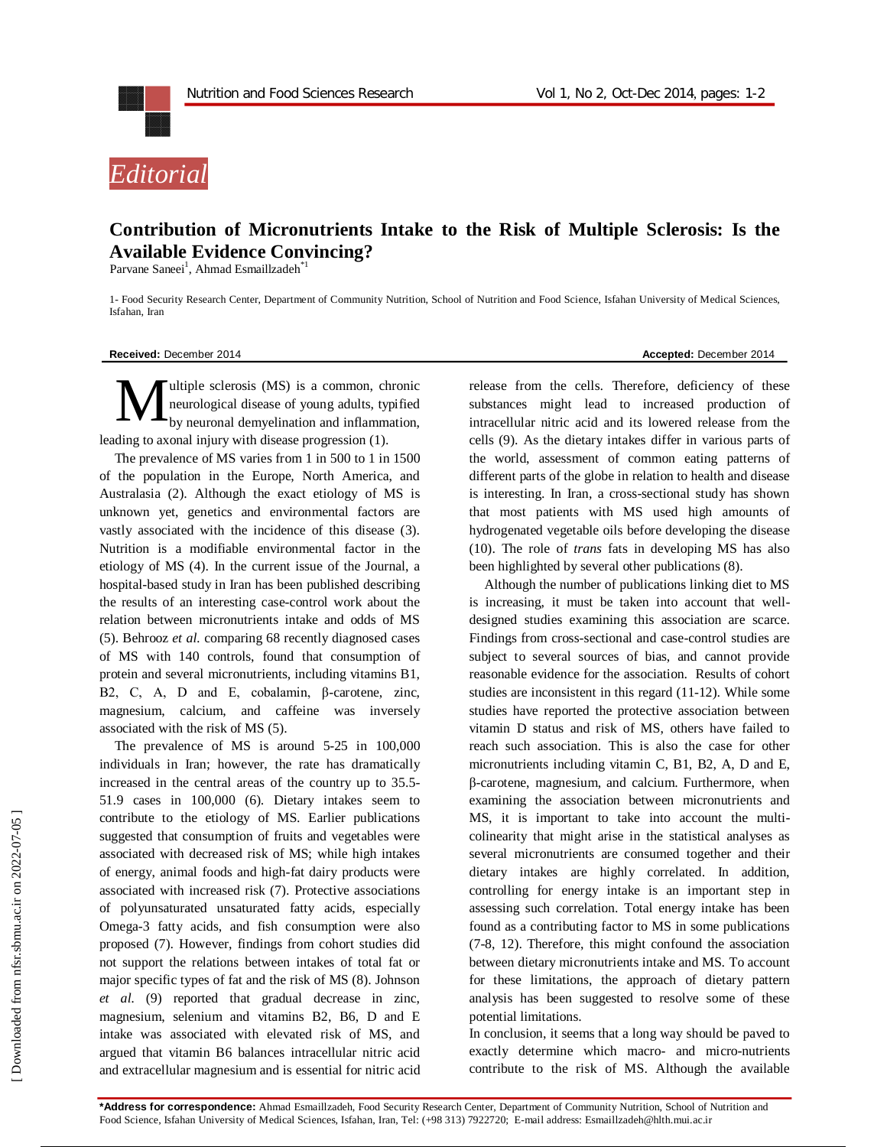



## **Contribution of Micronutrients Intake to the Risk of Multiple Sclerosis: Is the Available Evidence Convincing?**

Parvane Saneei<sup>1</sup>, Ahmad Esmaillzadeh<sup>\*1</sup>

1- Food Security Research Center, Department of Community Nutrition, School of Nutrition and Food Science, Isfahan University of Medical Sciences, Isfahan, Iran

**Received:** December 2014 **Accepted:** December 2014

ultiple sclerosis (MS) is a common, chronic neurological disease of young adults, typified by neuronal demyelination and inflammation, leading to axonal injury with disease progression (1). M

The prevalence of MS varies from 1 in 500 to 1 in 1500 of the population in the Europe, North America, and Australasia (2). Although the exact etiology of MS is unknown yet, genetics and environmental factors are vastly associated with the incidence of this disease (3). Nutrition is a modifiable environmental factor in the etiology of MS (4). In the current issue of the Journal, a hospital-based study in Iran has been published describing the results of an interesting case-control work about the relation between micronutrients intake and odds of MS (5). Behrooz *et al.* comparing 68 recently diagnosed cases of MS with 140 controls, found that consumption of protein and several micronutrients, including vitamins B1, B2, C, A, D and E, cobalamin, β-carotene, zinc, magnesium, calcium, and caffeine was inversely associated with the risk of MS (5).

The prevalence of MS is around 5-25 in 100,000 individuals in Iran; however, the rate has dramatically increased in the central areas of the country up to 35.5- 51.9 cases in 100,000 (6). Dietary intakes seem to contribute to the etiology of MS. Earlier publications suggested that consumption of fruits and vegetables were associated with decreased risk of MS; while high intakes of energy, animal foods and high-fat dairy products were associated with increased risk (7). Protective associations of polyunsaturated unsaturated fatty acids, especially Omega-3 fatty acids, and fish consumption were also proposed (7). However, findings from cohort studies did not support the relations between intakes of total fat or major specific types of fat and the risk of MS (8). Johnson *et al.* (9) reported that gradual decrease in zinc, magnesium, selenium and vitamins B2, B6, D and E intake was associated with elevated risk of MS, and argued that vitamin B6 balances intracellular nitric acid and extracellular magnesium and is essential for nitric acid

release from the cells. Therefore, deficiency of these substances might lead to increased production of intracellular nitric acid and its lowered release from the cells (9). As the dietary intakes differ in various parts of the world, assessment of common eating patterns of different parts of the globe in relation to health and disease is interesting. In Iran, a cross-sectional study has shown that most patients with MS used high amounts of hydrogenated vegetable oils before developing the disease (10). The role of *trans* fats in developing MS has also been highlighted by several other publications (8).

Although the number of publications linking diet to MS is increasing, it must be taken into account that welldesigned studies examining this association are scarce. Findings from cross-sectional and case-control studies are subject to several sources of bias, and cannot provide reasonable evidence for the association. Results of cohort studies are inconsistent in this regard (11-12). While some studies have reported the protective association between vitamin D status and risk of MS, others have failed to reach such association. This is also the case for other micronutrients including vitamin C, B1, B2, A, D and E, β-carotene, magnesium, and calcium. Furthermore, when examining the association between micronutrients and MS, it is important to take into account the multicolinearity that might arise in the statistical analyses as several micronutrients are consumed together and their dietary intakes are highly correlated. In addition, controlling for energy intake is an important step in assessing such correlation. Total energy intake has been found as a contributing factor to MS in some publications (7-8, 12). Therefore, this might confound the association between dietary micronutrients intake and MS. To account for these limitations, the approach of dietary pattern analysis has been suggested to resolve some of these potential limitations.

In conclusion, it seems that a long way should be paved to exactly determine which macro- and micro-nutrients contribute to the risk of MS. Although the available